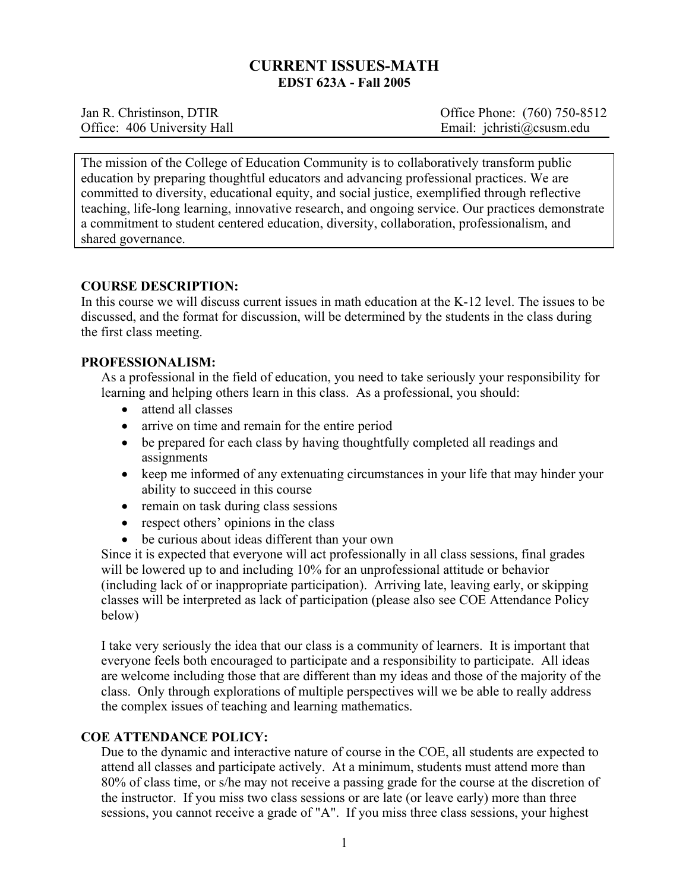# **CURRENT ISSUES-MATH EDST 623A - Fall 2005**

| Jan R. Christinson, DTIR    | Office Phone: (760) 750-8512 |
|-----------------------------|------------------------------|
| Office: 406 University Hall | Email: jchristi@csusm.edu    |

The mission of the College of Education Community is to collaboratively transform public education by preparing thoughtful educators and advancing professional practices. We are committed to diversity, educational equity, and social justice, exemplified through reflective teaching, life-long learning, innovative research, and ongoing service. Our practices demonstrate a commitment to student centered education, diversity, collaboration, professionalism, and shared governance.

## **COURSE DESCRIPTION:**

In this course we will discuss current issues in math education at the K-12 level. The issues to be discussed, and the format for discussion, will be determined by the students in the class during the first class meeting.

## **PROFESSIONALISM:**

As a professional in the field of education, you need to take seriously your responsibility for learning and helping others learn in this class. As a professional, you should:

- attend all classes
- arrive on time and remain for the entire period
- be prepared for each class by having thoughtfully completed all readings and assignments
- keep me informed of any extenuating circumstances in your life that may hinder your ability to succeed in this course
- remain on task during class sessions
- respect others' opinions in the class
- be curious about ideas different than your own

Since it is expected that everyone will act professionally in all class sessions, final grades will be lowered up to and including 10% for an unprofessional attitude or behavior (including lack of or inappropriate participation). Arriving late, leaving early, or skipping classes will be interpreted as lack of participation (please also see COE Attendance Policy below)

I take very seriously the idea that our class is a community of learners. It is important that everyone feels both encouraged to participate and a responsibility to participate. All ideas are welcome including those that are different than my ideas and those of the majority of the class. Only through explorations of multiple perspectives will we be able to really address the complex issues of teaching and learning mathematics.

## **COE ATTENDANCE POLICY:**

Due to the dynamic and interactive nature of course in the COE, all students are expected to attend all classes and participate actively. At a minimum, students must attend more than 80% of class time, or s/he may not receive a passing grade for the course at the discretion of the instructor. If you miss two class sessions or are late (or leave early) more than three sessions, you cannot receive a grade of "A". If you miss three class sessions, your highest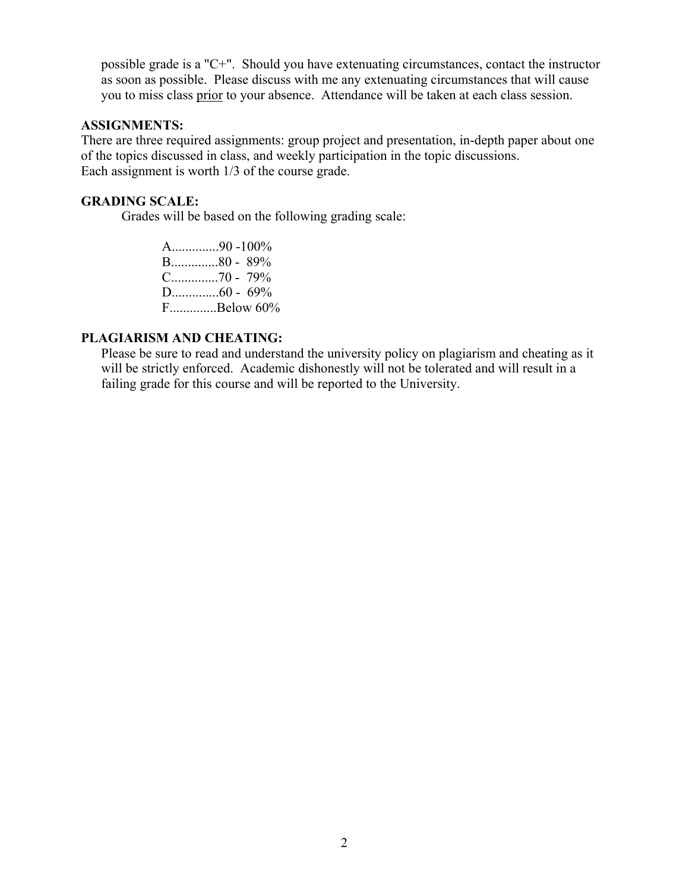possible grade is a "C+". Should you have extenuating circumstances, contact the instructor as soon as possible. Please discuss with me any extenuating circumstances that will cause you to miss class prior to your absence. Attendance will be taken at each class session.

## **ASSIGNMENTS:**

There are three required assignments: group project and presentation, in-depth paper about one of the topics discussed in class, and weekly participation in the topic discussions. Each assignment is worth 1/3 of the course grade.

#### **GRADING SCALE:**

Grades will be based on the following grading scale:

A..............90 -100% B..............80 - 89% C..............70 - 79% D..............60 - 69% F..............Below 60%

#### **PLAGIARISM AND CHEATING:**

Please be sure to read and understand the university policy on plagiarism and cheating as it will be strictly enforced. Academic dishonestly will not be tolerated and will result in a failing grade for this course and will be reported to the University.